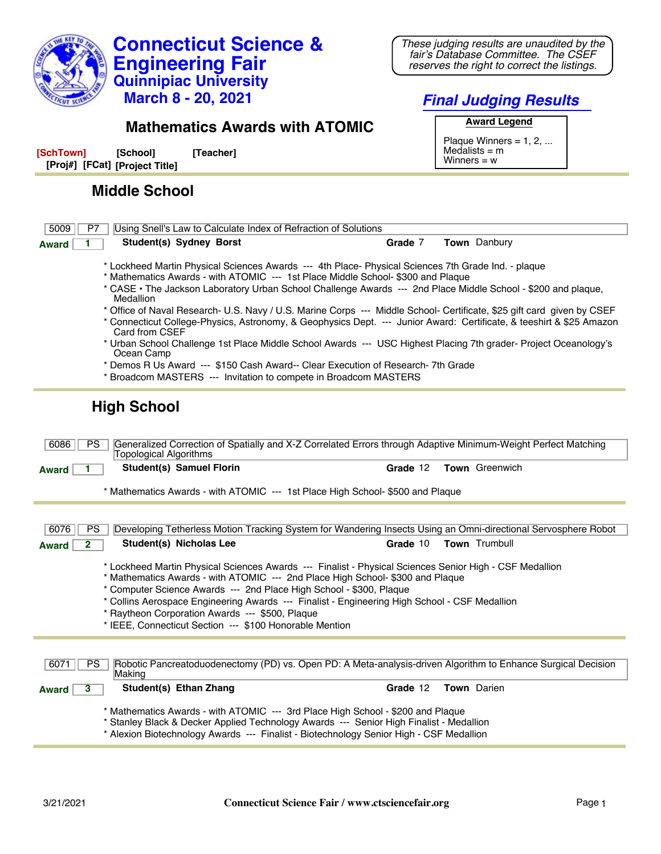